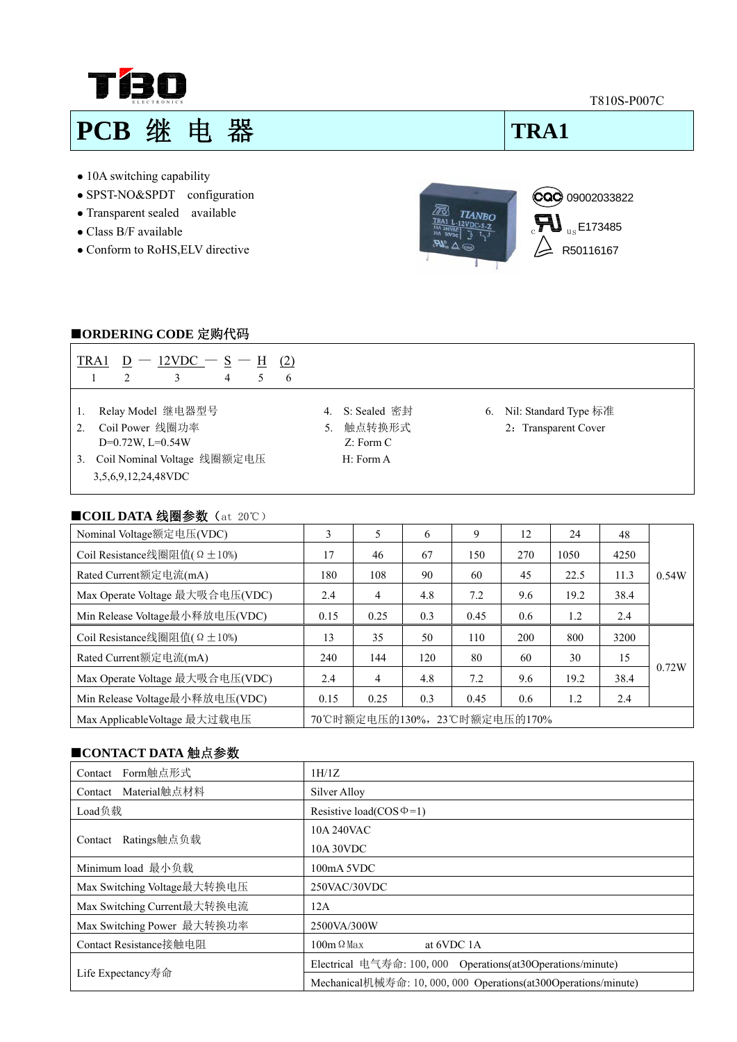**T BO** 

T810S-P007C

# **PCB 继 电 器 | TRA1**

- 10A switching capability
- SPST-NO&SPDT configuration
- Transparent sealed available
- Class B/F available
- Conform to RoHS,ELV directive



### ■**ORDERING CODE** 定购代码

| TRA1 $\underline{D}$ - 12VDC - $\underline{S}$ - H (2)<br>3<br>2<br>4<br>6<br>5.                                                            |                                                                  |                                                  |
|---------------------------------------------------------------------------------------------------------------------------------------------|------------------------------------------------------------------|--------------------------------------------------|
| Relay Model 继电器型号<br>Coil Power 线圈功率<br>2 <sub>1</sub><br>$D=0.72W$ , $L=0.54W$<br>Coil Nominal Voltage 线圈额定电压<br>3.<br>3,5,6,9,12,24,48VDC | S: Sealed 密封<br>4.<br>触点转换形式<br>5.<br>$Z:$ Form $C$<br>H: Form A | 6. Nil: Standard Type 标准<br>2: Transparent Cover |
| ■COIL DATA 线圈参数 (at 20℃)                                                                                                                    |                                                                  |                                                  |

| Nominal Voltage额定电压(VDC)                 | 3                            | 5              | 6   | 9    | 12  | 24   | 48   |       |
|------------------------------------------|------------------------------|----------------|-----|------|-----|------|------|-------|
| Coil Resistance线圈阻值( $\Omega \pm 10\%$ ) | 17                           | 46             | 67  | 150  | 270 | 1050 | 4250 |       |
| Rated Current额定电流(mA)                    | 180                          | 108            | 90  | 60   | 45  | 22.5 | 11.3 | 0.54W |
| Max Operate Voltage 最大吸合电压(VDC)          | 2.4                          | 4              | 4.8 | 7.2  | 9.6 | 19.2 | 38.4 |       |
| Min Release Voltage最小释放电压(VDC)           | 0.15                         | 0.25           | 0.3 | 0.45 | 0.6 | 1.2  | 2.4  |       |
| Coil Resistance线圈阻值( $\Omega \pm 10\%$ ) | 13                           | 35             | 50  | 110  | 200 | 800  | 3200 |       |
| Rated Current额定电流(mA)                    | 240                          | 144            | 120 | 80   | 60  | 30   | 15   |       |
| Max Operate Voltage 最大吸合电压(VDC)          | 2.4                          | $\overline{4}$ | 4.8 | 7.2  | 9.6 | 19.2 | 38.4 | 0.72W |
| Min Release Voltage最小释放电压(VDC)           | 0.15                         | 0.25           | 0.3 | 0.45 | 0.6 | 1.2  | 2.4  |       |
| Max ApplicableVoltage 最大过载电压             | 70℃时额定电压的130%, 23℃时额定电压的170% |                |     |      |     |      |      |       |

# ■**CONTACT DATA** 触点参数

| Form触点形式<br>Contact         | 1H/1Z                                                           |  |
|-----------------------------|-----------------------------------------------------------------|--|
| Material触点材料<br>Contact     | Silver Alloy                                                    |  |
| Load负载                      | Resistive load( $\cos \Phi = 1$ )                               |  |
| Ratings触点负载<br>Contact      | 10A 240VAC                                                      |  |
|                             | 10A 30VDC                                                       |  |
| Minimum load 最小负载           | 100mA 5VDC                                                      |  |
| Max Switching Voltage最大转换电压 | 250VAC/30VDC                                                    |  |
| Max Switching Current最大转换电流 | 12A                                                             |  |
| Max Switching Power 最大转换功率  | 2500VA/300W                                                     |  |
| Contact Resistance接触电阻      | $100m \Omega$ Max<br>at 6VDC 1A                                 |  |
| Life Expectancy寿命           | Electrical 电气寿命: 100, 000 Operations(at30Operations/minute)     |  |
|                             | Mechanical机械寿命: 10, 000, 000 Operations(at300Operations/minute) |  |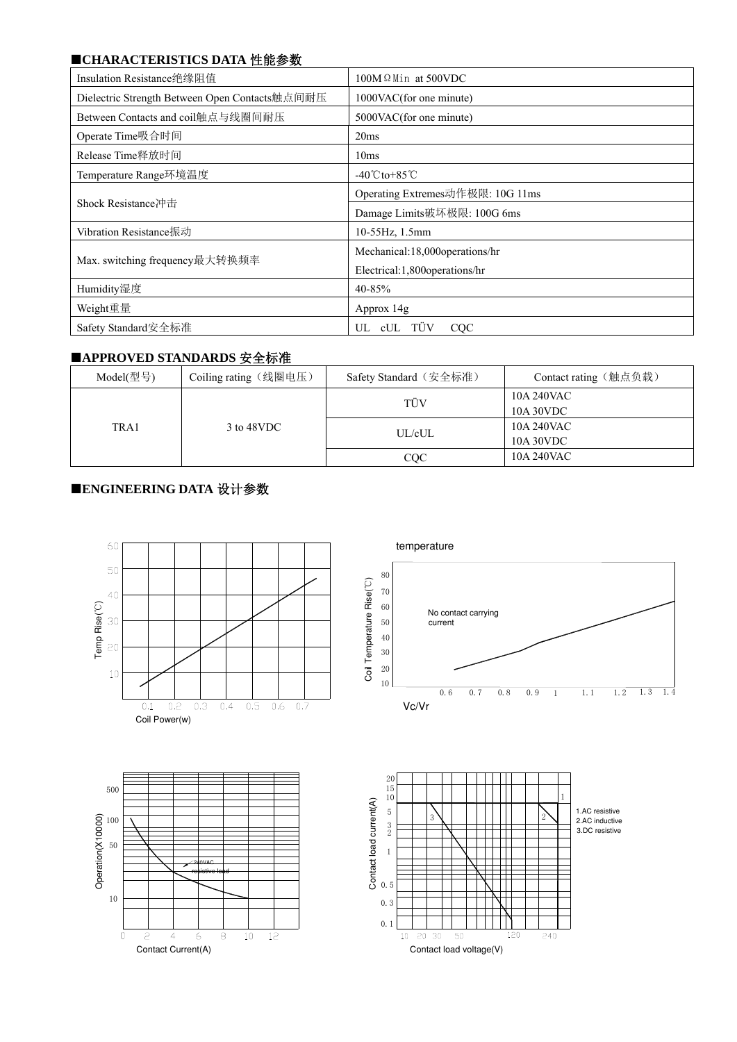# ■**CHARACTERISTICS DATA** 性能参数

| Insulation Resistance绝缘阻值                      | $100M \Omega$ Min at 500VDC       |  |
|------------------------------------------------|-----------------------------------|--|
| Dielectric Strength Between Open Contacts触点间耐压 | 1000VAC(for one minute)           |  |
| Between Contacts and coil触点与线圈间耐压              | 5000VAC(for one minute)           |  |
| Operate Time吸合时间                               | 20ms                              |  |
| Release Time释放时间                               | 10ms                              |  |
| Temperature Range环境温度                          | $-40^{\circ}$ Cto+85 $^{\circ}$ C |  |
| Shock Resistance冲击                             | Operating Extremes动作极限: 10G 11ms  |  |
|                                                | Damage Limits破坏极限: 100G 6ms       |  |
| Vibration Resistance振动                         | 10-55Hz, 1.5mm                    |  |
|                                                | Mechanical:18,000operations/hr    |  |
| Max. switching frequency最大转换频率                 | Electrical:1,800operations/hr     |  |
| Humidity湿度                                     | 40-85%                            |  |
| Weight重量                                       | Approx 14g                        |  |
| Safety Standard安全标准                            | UL cUL TÜV<br>CQC                 |  |

### ■**APPROVED STANDARDS** 安全标准

| Model(型号) | Coiling rating (线圈电压) | Safety Standard (安全标准) | Contact rating (触点负载)   |
|-----------|-----------------------|------------------------|-------------------------|
| TRA1      | 3 to 48VDC            | TÜV                    | 10A 240VAC<br>10A 30VDC |
|           |                       | UL/cUL                 | 10A 240VAC<br>10A 30VDC |
|           |                       | CQC                    | 10A 240VAC              |

# ■**ENGINEERING DATA** 设计参数